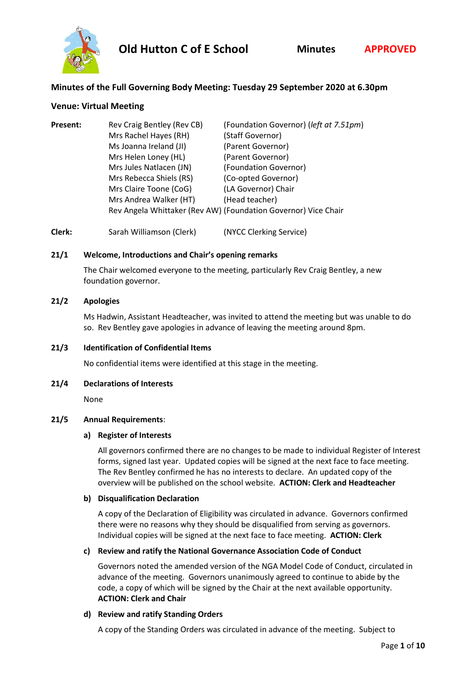

# **Minutes of the Full Governing Body Meeting: Tuesday 29 September 2020 at 6.30pm**

## **Venue: Virtual Meeting**

| Present: | Rev Craig Bentley (Rev CB)                                     | (Foundation Governor) (left at 7.51pm) |
|----------|----------------------------------------------------------------|----------------------------------------|
|          | Mrs Rachel Hayes (RH)                                          | (Staff Governor)                       |
|          | Ms Joanna Ireland (JI)                                         | (Parent Governor)                      |
|          | Mrs Helen Loney (HL)                                           | (Parent Governor)                      |
|          | Mrs Jules Natlacen (JN)                                        | (Foundation Governor)                  |
|          | Mrs Rebecca Shiels (RS)                                        | (Co-opted Governor)                    |
|          | Mrs Claire Toone (CoG)                                         | (LA Governor) Chair                    |
|          | Mrs Andrea Walker (HT)                                         | (Head teacher)                         |
|          | Rev Angela Whittaker (Rev AW) (Foundation Governor) Vice Chair |                                        |

**Clerk:** Sarah Williamson (Clerk) (NYCC Clerking Service)

## **21/1 Welcome, Introductions and Chair's opening remarks**

The Chair welcomed everyone to the meeting, particularly Rev Craig Bentley, a new foundation governor.

## **21/2 Apologies**

Ms Hadwin, Assistant Headteacher, was invited to attend the meeting but was unable to do so. Rev Bentley gave apologies in advance of leaving the meeting around 8pm.

## **21/3 Identification of Confidential Items**

No confidential items were identified at this stage in the meeting.

## **21/4 Declarations of Interests**

None

## **21/5 Annual Requirements**:

## **a) Register of Interests**

All governors confirmed there are no changes to be made to individual Register of Interest forms, signed last year. Updated copies will be signed at the next face to face meeting. The Rev Bentley confirmed he has no interests to declare. An updated copy of the overview will be published on the school website. **ACTION: Clerk and Headteacher**

## **b) Disqualification Declaration**

A copy of the Declaration of Eligibility was circulated in advance. Governors confirmed there were no reasons why they should be disqualified from serving as governors. Individual copies will be signed at the next face to face meeting. **ACTION: Clerk**

## **c) Review and ratify the National Governance Association Code of Conduct**

Governors noted the amended version of the NGA Model Code of Conduct, circulated in advance of the meeting. Governors unanimously agreed to continue to abide by the code, a copy of which will be signed by the Chair at the next available opportunity. **ACTION: Clerk and Chair**

## **d) Review and ratify Standing Orders**

A copy of the Standing Orders was circulated in advance of the meeting. Subject to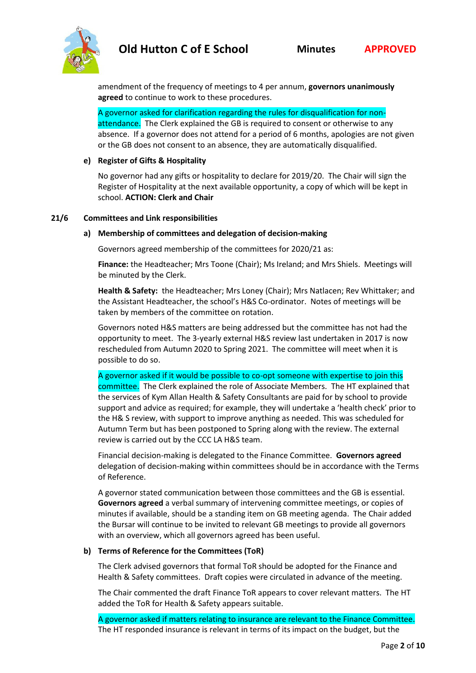

amendment of the frequency of meetings to 4 per annum, **governors unanimously agreed** to continue to work to these procedures.

A governor asked for clarification regarding the rules for disqualification for nonattendance. The Clerk explained the GB is required to consent or otherwise to any absence. If a governor does not attend for a period of 6 months, apologies are not given or the GB does not consent to an absence, they are automatically disqualified.

## **e) Register of Gifts & Hospitality**

No governor had any gifts or hospitality to declare for 2019/20. The Chair will sign the Register of Hospitality at the next available opportunity, a copy of which will be kept in school. **ACTION: Clerk and Chair**

## **21/6 Committees and Link responsibilities**

#### **a) Membership of committees and delegation of decision-making**

Governors agreed membership of the committees for 2020/21 as:

**Finance:** the Headteacher; Mrs Toone (Chair); Ms Ireland; and Mrs Shiels. Meetings will be minuted by the Clerk.

**Health & Safety:** the Headteacher; Mrs Loney (Chair); Mrs Natlacen; Rev Whittaker; and the Assistant Headteacher, the school's H&S Co-ordinator. Notes of meetings will be taken by members of the committee on rotation.

Governors noted H&S matters are being addressed but the committee has not had the opportunity to meet. The 3-yearly external H&S review last undertaken in 2017 is now rescheduled from Autumn 2020 to Spring 2021. The committee will meet when it is possible to do so.

A governor asked if it would be possible to co-opt someone with expertise to join this committee. The Clerk explained the role of Associate Members. The HT explained that the services of Kym Allan Health & Safety Consultants are paid for by school to provide support and advice as required; for example, they will undertake a 'health check' prior to the H& S review, with support to improve anything as needed. This was scheduled for Autumn Term but has been postponed to Spring along with the review. The external review is carried out by the CCC LA H&S team.

Financial decision-making is delegated to the Finance Committee. **Governors agreed** delegation of decision-making within committees should be in accordance with the Terms of Reference.

A governor stated communication between those committees and the GB is essential. **Governors agreed** a verbal summary of intervening committee meetings, or copies of minutes if available, should be a standing item on GB meeting agenda. The Chair added the Bursar will continue to be invited to relevant GB meetings to provide all governors with an overview, which all governors agreed has been useful.

## **b) Terms of Reference for the Committees (ToR)**

The Clerk advised governors that formal ToR should be adopted for the Finance and Health & Safety committees. Draft copies were circulated in advance of the meeting.

The Chair commented the draft Finance ToR appears to cover relevant matters. The HT added the ToR for Health & Safety appears suitable.

A governor asked if matters relating to insurance are relevant to the Finance Committee. The HT responded insurance is relevant in terms of its impact on the budget, but the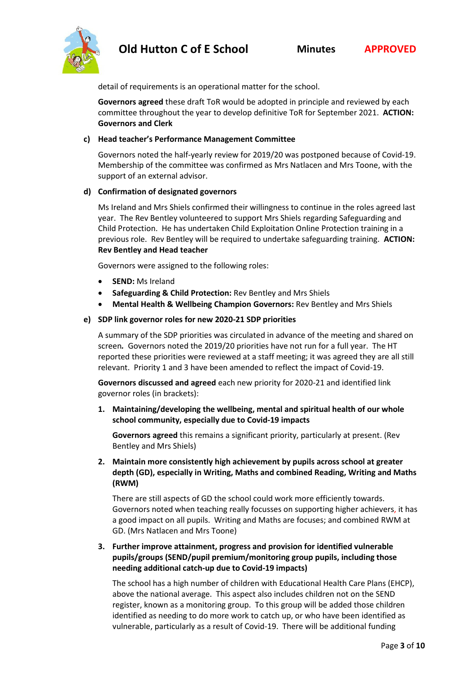detail of requirements is an operational matter for the school.

**Governors agreed** these draft ToR would be adopted in principle and reviewed by each committee throughout the year to develop definitive ToR for September 2021. **ACTION: Governors and Clerk**

# **c) Head teacher's Performance Management Committee**

Governors noted the half-yearly review for 2019/20 was postponed because of Covid-19. Membership of the committee was confirmed as Mrs Natlacen and Mrs Toone, with the support of an external advisor.

# **d) Confirmation of designated governors**

Ms Ireland and Mrs Shiels confirmed their willingness to continue in the roles agreed last year. The Rev Bentley volunteered to support Mrs Shiels regarding Safeguarding and Child Protection. He has undertaken Child Exploitation Online Protection training in a previous role. Rev Bentley will be required to undertake safeguarding training. **ACTION: Rev Bentley and Head teacher**

Governors were assigned to the following roles:

- **SEND:** Ms Ireland
- **Safeguarding & Child Protection:** Rev Bentley and Mrs Shiels
- **Mental Health & Wellbeing Champion Governors:** Rev Bentley and Mrs Shiels

# **e) SDP link governor roles for new 2020-21 SDP priorities**

A summary of the SDP priorities was circulated in advance of the meeting and shared on screen*.* Governors noted the 2019/20 priorities have not run for a full year. The HT reported these priorities were reviewed at a staff meeting; it was agreed they are all still relevant. Priority 1 and 3 have been amended to reflect the impact of Covid-19.

**Governors discussed and agreed** each new priority for 2020-21 and identified link governor roles (in brackets):

**1. Maintaining/developing the wellbeing, mental and spiritual health of our whole school community, especially due to Covid-19 impacts** 

**Governors agreed** this remains a significant priority, particularly at present. (Rev Bentley and Mrs Shiels)

**2. Maintain more consistently high achievement by pupils across school at greater depth (GD), especially in Writing, Maths and combined Reading, Writing and Maths (RWM)**

There are still aspects of GD the school could work more efficiently towards. Governors noted when teaching really focusses on supporting higher achievers, it has a good impact on all pupils. Writing and Maths are focuses; and combined RWM at GD. (Mrs Natlacen and Mrs Toone)

**3. Further improve attainment, progress and provision for identified vulnerable pupils/groups (SEND/pupil premium/monitoring group pupils, including those needing additional catch-up due to Covid-19 impacts)** 

The school has a high number of children with Educational Health Care Plans (EHCP), above the national average. This aspect also includes children not on the SEND register, known as a monitoring group. To this group will be added those children identified as needing to do more work to catch up, or who have been identified as vulnerable, particularly as a result of Covid-19. There will be additional funding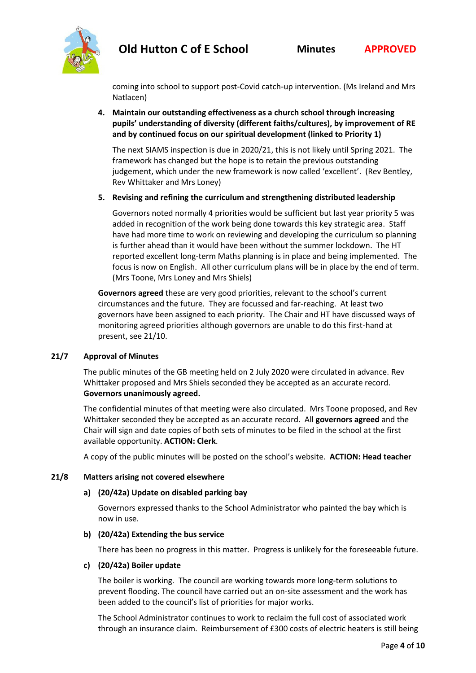

coming into school to support post-Covid catch-up intervention. (Ms Ireland and Mrs Natlacen)

**4. Maintain our outstanding effectiveness as a church school through increasing pupils' understanding of diversity (different faiths/cultures), by improvement of RE and by continued focus on our spiritual development (linked to Priority 1)**

The next SIAMS inspection is due in 2020/21, this is not likely until Spring 2021. The framework has changed but the hope is to retain the previous outstanding judgement, which under the new framework is now called 'excellent'. (Rev Bentley, Rev Whittaker and Mrs Loney)

**5. Revising and refining the curriculum and strengthening distributed leadership**

Governors noted normally 4 priorities would be sufficient but last year priority 5 was added in recognition of the work being done towards this key strategic area. Staff have had more time to work on reviewing and developing the curriculum so planning is further ahead than it would have been without the summer lockdown. The HT reported excellent long-term Maths planning is in place and being implemented. The focus is now on English. All other curriculum plans will be in place by the end of term. (Mrs Toone, Mrs Loney and Mrs Shiels)

**Governors agreed** these are very good priorities, relevant to the school's current circumstances and the future. They are focussed and far-reaching. At least two governors have been assigned to each priority. The Chair and HT have discussed ways of monitoring agreed priorities although governors are unable to do this first-hand at present, see 21/10.

# **21/7 Approval of Minutes**

The public minutes of the GB meeting held on 2 July 2020 were circulated in advance. Rev Whittaker proposed and Mrs Shiels seconded they be accepted as an accurate record. **Governors unanimously agreed.**

The confidential minutes of that meeting were also circulated. Mrs Toone proposed, and Rev Whittaker seconded they be accepted as an accurate record. All **governors agreed** and the Chair will sign and date copies of both sets of minutes to be filed in the school at the first available opportunity. **ACTION: Clerk**.

A copy of the public minutes will be posted on the school's website. **ACTION: Head teacher**

## **21/8 Matters arising not covered elsewhere**

## **a) (20/42a) Update on disabled parking bay**

Governors expressed thanks to the School Administrator who painted the bay which is now in use.

## **b) (20/42a) Extending the bus service**

There has been no progress in this matter. Progress is unlikely for the foreseeable future.

## **c) (20/42a) Boiler update**

The boiler is working. The council are working towards more long-term solutions to prevent flooding. The council have carried out an on-site assessment and the work has been added to the council's list of priorities for major works.

The School Administrator continues to work to reclaim the full cost of associated work through an insurance claim. Reimbursement of £300 costs of electric heaters is still being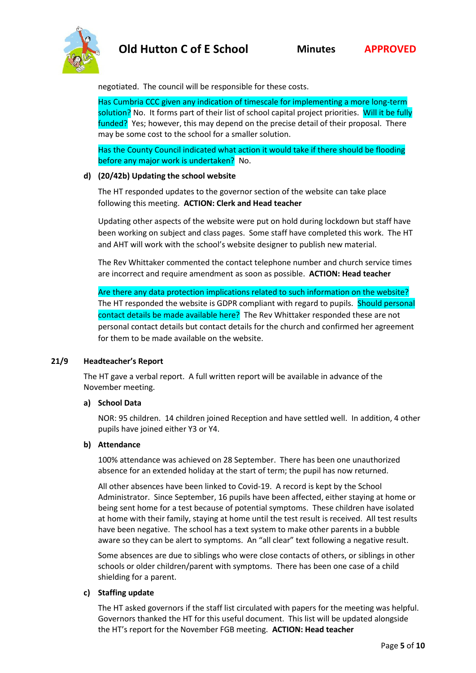

negotiated. The council will be responsible for these costs.

Has Cumbria CCC given any indication of timescale for implementing a more long-term solution? No. It forms part of their list of school capital project priorities. Will it be fully funded? Yes; however, this may depend on the precise detail of their proposal. There may be some cost to the school for a smaller solution.

Has the County Council indicated what action it would take if there should be flooding before any major work is undertaken? No.

## **d) (20/42b) Updating the school website**

The HT responded updates to the governor section of the website can take place following this meeting. **ACTION: Clerk and Head teacher**

Updating other aspects of the website were put on hold during lockdown but staff have been working on subject and class pages. Some staff have completed this work. The HT and AHT will work with the school's website designer to publish new material.

The Rev Whittaker commented the contact telephone number and church service times are incorrect and require amendment as soon as possible. **ACTION: Head teacher**

Are there any data protection implications related to such information on the website? The HT responded the website is GDPR compliant with regard to pupils. Should personal contact details be made available here? The Rev Whittaker responded these are not personal contact details but contact details for the church and confirmed her agreement for them to be made available on the website.

## **21/9 Headteacher's Report**

The HT gave a verbal report. A full written report will be available in advance of the November meeting.

## **a) School Data**

NOR: 95 children. 14 children joined Reception and have settled well. In addition, 4 other pupils have joined either Y3 or Y4.

## **b) Attendance**

100% attendance was achieved on 28 September. There has been one unauthorized absence for an extended holiday at the start of term; the pupil has now returned.

All other absences have been linked to Covid-19. A record is kept by the School Administrator. Since September, 16 pupils have been affected, either staying at home or being sent home for a test because of potential symptoms. These children have isolated at home with their family, staying at home until the test result is received. All test results have been negative. The school has a text system to make other parents in a bubble aware so they can be alert to symptoms. An "all clear" text following a negative result.

Some absences are due to siblings who were close contacts of others, or siblings in other schools or older children/parent with symptoms. There has been one case of a child shielding for a parent.

# **c) Staffing update**

The HT asked governors if the staff list circulated with papers for the meeting was helpful. Governors thanked the HT for this useful document. This list will be updated alongside the HT's report for the November FGB meeting. **ACTION: Head teacher**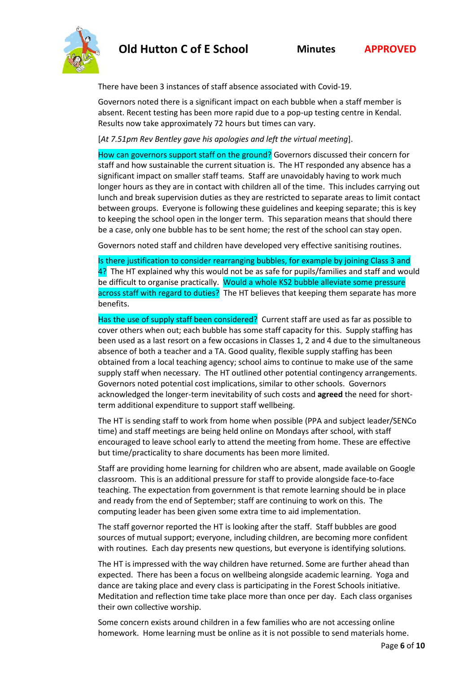

There have been 3 instances of staff absence associated with Covid-19.

Governors noted there is a significant impact on each bubble when a staff member is absent. Recent testing has been more rapid due to a pop-up testing centre in Kendal. Results now take approximately 72 hours but times can vary.

[*At 7.51pm Rev Bentley gave his apologies and left the virtual meeting*].

How can governors support staff on the ground? Governors discussed their concern for staff and how sustainable the current situation is. The HT responded any absence has a significant impact on smaller staff teams. Staff are unavoidably having to work much longer hours as they are in contact with children all of the time. This includes carrying out lunch and break supervision duties as they are restricted to separate areas to limit contact between groups. Everyone is following these guidelines and keeping separate; this is key to keeping the school open in the longer term. This separation means that should there be a case, only one bubble has to be sent home; the rest of the school can stay open.

Governors noted staff and children have developed very effective sanitising routines.

Is there justification to consider rearranging bubbles, for example by joining Class 3 and 4? The HT explained why this would not be as safe for pupils/families and staff and would be difficult to organise practically. Would a whole KS2 bubble alleviate some pressure across staff with regard to duties? The HT believes that keeping them separate has more benefits.

Has the use of supply staff been considered? Current staff are used as far as possible to cover others when out; each bubble has some staff capacity for this. Supply staffing has been used as a last resort on a few occasions in Classes 1, 2 and 4 due to the simultaneous absence of both a teacher and a TA. Good quality, flexible supply staffing has been obtained from a local teaching agency; school aims to continue to make use of the same supply staff when necessary. The HT outlined other potential contingency arrangements. Governors noted potential cost implications, similar to other schools. Governors acknowledged the longer-term inevitability of such costs and **agreed** the need for shortterm additional expenditure to support staff wellbeing.

The HT is sending staff to work from home when possible (PPA and subject leader/SENCo time) and staff meetings are being held online on Mondays after school, with staff encouraged to leave school early to attend the meeting from home. These are effective but time/practicality to share documents has been more limited.

Staff are providing home learning for children who are absent, made available on Google classroom. This is an additional pressure for staff to provide alongside face-to-face teaching. The expectation from government is that remote learning should be in place and ready from the end of September; staff are continuing to work on this. The computing leader has been given some extra time to aid implementation.

The staff governor reported the HT is looking after the staff. Staff bubbles are good sources of mutual support; everyone, including children, are becoming more confident with routines. Each day presents new questions, but everyone is identifying solutions.

The HT is impressed with the way children have returned. Some are further ahead than expected. There has been a focus on wellbeing alongside academic learning. Yoga and dance are taking place and every class is participating in the Forest Schools initiative. Meditation and reflection time take place more than once per day. Each class organises their own collective worship.

Some concern exists around children in a few families who are not accessing online homework. Home learning must be online as it is not possible to send materials home.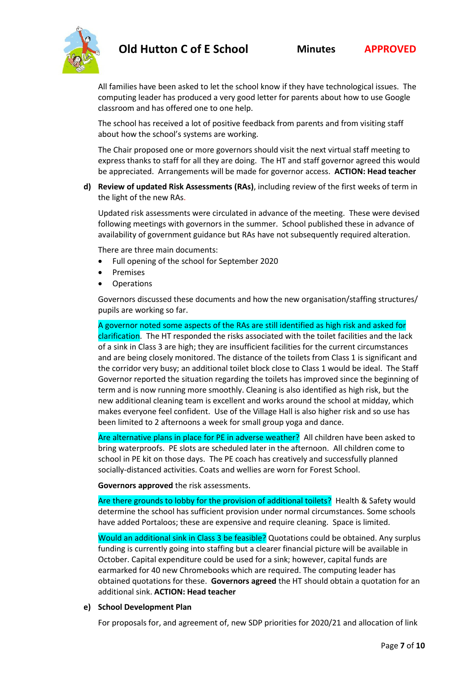

All families have been asked to let the school know if they have technological issues. The computing leader has produced a very good letter for parents about how to use Google classroom and has offered one to one help.

The school has received a lot of positive feedback from parents and from visiting staff about how the school's systems are working.

The Chair proposed one or more governors should visit the next virtual staff meeting to express thanks to staff for all they are doing. The HT and staff governor agreed this would be appreciated. Arrangements will be made for governor access. **ACTION: Head teacher**

**d) Review of updated Risk Assessments (RAs)**, including review of the first weeks of term in the light of the new RAs.

Updated risk assessments were circulated in advance of the meeting. These were devised following meetings with governors in the summer. School published these in advance of availability of government guidance but RAs have not subsequently required alteration.

There are three main documents:

- Full opening of the school for September 2020
- Premises
- Operations

Governors discussed these documents and how the new organisation/staffing structures/ pupils are working so far.

A governor noted some aspects of the RAs are still identified as high risk and asked for clarification. The HT responded the risks associated with the toilet facilities and the lack of a sink in Class 3 are high; they are insufficient facilities for the current circumstances and are being closely monitored. The distance of the toilets from Class 1 is significant and the corridor very busy; an additional toilet block close to Class 1 would be ideal. The Staff Governor reported the situation regarding the toilets has improved since the beginning of term and is now running more smoothly. Cleaning is also identified as high risk, but the new additional cleaning team is excellent and works around the school at midday, which makes everyone feel confident. Use of the Village Hall is also higher risk and so use has been limited to 2 afternoons a week for small group yoga and dance.

Are alternative plans in place for PE in adverse weather? All children have been asked to bring waterproofs. PE slots are scheduled later in the afternoon. All children come to school in PE kit on those days. The PE coach has creatively and successfully planned socially-distanced activities. Coats and wellies are worn for Forest School.

**Governors approved** the risk assessments.

Are there grounds to lobby for the provision of additional toilets? Health & Safety would determine the school has sufficient provision under normal circumstances. Some schools have added Portaloos; these are expensive and require cleaning. Space is limited.

Would an additional sink in Class 3 be feasible? Quotations could be obtained. Any surplus funding is currently going into staffing but a clearer financial picture will be available in October. Capital expenditure could be used for a sink; however, capital funds are earmarked for 40 new Chromebooks which are required. The computing leader has obtained quotations for these. **Governors agreed** the HT should obtain a quotation for an additional sink. **ACTION: Head teacher**

## **e) School Development Plan**

For proposals for, and agreement of, new SDP priorities for 2020/21 and allocation of link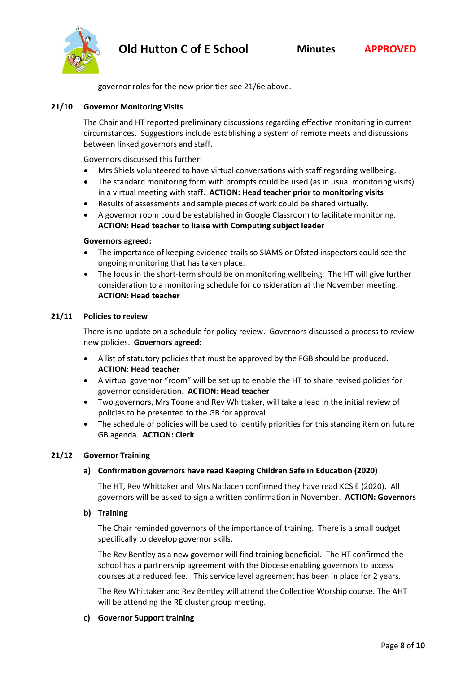

governor roles for the new priorities see 21/6e above.

## **21/10 Governor Monitoring Visits**

The Chair and HT reported preliminary discussions regarding effective monitoring in current circumstances. Suggestions include establishing a system of remote meets and discussions between linked governors and staff.

Governors discussed this further:

- Mrs Shiels volunteered to have virtual conversations with staff regarding wellbeing.
- The standard monitoring form with prompts could be used (as in usual monitoring visits) in a virtual meeting with staff. **ACTION: Head teacher prior to monitoring visits**
- Results of assessments and sample pieces of work could be shared virtually.
- A governor room could be established in Google Classroom to facilitate monitoring. **ACTION: Head teacher to liaise with Computing subject leader**

#### **Governors agreed:**

- The importance of keeping evidence trails so SIAMS or Ofsted inspectors could see the ongoing monitoring that has taken place.
- The focus in the short-term should be on monitoring wellbeing. The HT will give further consideration to a monitoring schedule for consideration at the November meeting. **ACTION: Head teacher**

#### **21/11 Policies to review**

There is no update on a schedule for policy review. Governors discussed a process to review new policies. **Governors agreed:**

- A list of statutory policies that must be approved by the FGB should be produced. **ACTION: Head teacher**
- A virtual governor "room" will be set up to enable the HT to share revised policies for governor consideration. **ACTION: Head teacher**
- Two governors, Mrs Toone and Rev Whittaker, will take a lead in the initial review of policies to be presented to the GB for approval
- The schedule of policies will be used to identify priorities for this standing item on future GB agenda. **ACTION: Clerk**

#### **21/12 Governor Training**

## **a) Confirmation governors have read Keeping Children Safe in Education (2020)**

The HT, Rev Whittaker and Mrs Natlacen confirmed they have read KCSiE (2020). All governors will be asked to sign a written confirmation in November. **ACTION: Governors**

## **b) Training**

The Chair reminded governors of the importance of training. There is a small budget specifically to develop governor skills.

The Rev Bentley as a new governor will find training beneficial. The HT confirmed the school has a partnership agreement with the Diocese enabling governors to access courses at a reduced fee. This service level agreement has been in place for 2 years.

The Rev Whittaker and Rev Bentley will attend the Collective Worship course. The AHT will be attending the RE cluster group meeting.

#### **c) Governor Support training**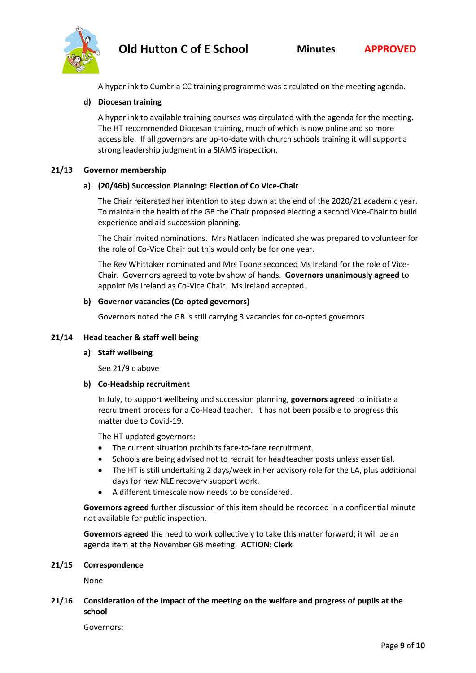

A hyperlink to Cumbria CC training programme was circulated on the meeting agenda.

## **d) Diocesan training**

A hyperlink to available training courses was circulated with the agenda for the meeting. The HT recommended Diocesan training, much of which is now online and so more accessible. If all governors are up-to-date with church schools training it will support a strong leadership judgment in a SIAMS inspection.

#### **21/13 Governor membership**

#### **a) (20/46b) Succession Planning: Election of Co Vice-Chair**

The Chair reiterated her intention to step down at the end of the 2020/21 academic year. To maintain the health of the GB the Chair proposed electing a second Vice-Chair to build experience and aid succession planning.

The Chair invited nominations. Mrs Natlacen indicated she was prepared to volunteer for the role of Co-Vice Chair but this would only be for one year.

The Rev Whittaker nominated and Mrs Toone seconded Ms Ireland for the role of Vice-Chair. Governors agreed to vote by show of hands. **Governors unanimously agreed** to appoint Ms Ireland as Co-Vice Chair. Ms Ireland accepted.

## **b) Governor vacancies (Co-opted governors)**

Governors noted the GB is still carrying 3 vacancies for co-opted governors.

#### **21/14 Head teacher & staff well being**

#### **a) Staff wellbeing**

See 21/9 c above

#### **b) Co-Headship recruitment**

In July, to support wellbeing and succession planning, **governors agreed** to initiate a recruitment process for a Co-Head teacher. It has not been possible to progress this matter due to Covid-19.

The HT updated governors:

- The current situation prohibits face-to-face recruitment.
- Schools are being advised not to recruit for headteacher posts unless essential.
- The HT is still undertaking 2 days/week in her advisory role for the LA, plus additional days for new NLE recovery support work.
- A different timescale now needs to be considered.

**Governors agreed** further discussion of this item should be recorded in a confidential minute not available for public inspection.

**Governors agreed** the need to work collectively to take this matter forward; it will be an agenda item at the November GB meeting. **ACTION: Clerk**

#### **21/15 Correspondence**

None

**21/16 Consideration of the Impact of the meeting on the welfare and progress of pupils at the school**

Governors: